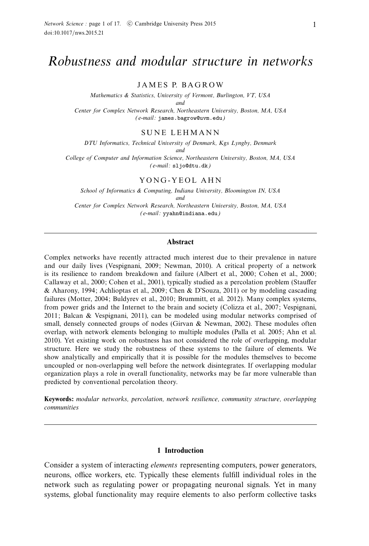# Robustness and modular structure in networks

JAMES P. BAGROW

Mathematics & Statistics, University of Vermont, Burlington, VT, USA and Center for Complex Network Research, Northeastern University, Boston, MA, USA

(e-mail: james.bagrow@uvm.edu)

SUNE LEHMANN

DTU Informatics, Technical University of Denmark, Kgs Lyngby, Denmark and

College of Computer and Information Science, Northeastern University, Boston, MA, USA (e-mail: sljo@dtu.dk)

#### YONG-YEOL AHN

School of Informatics & Computing, Indiana University, Bloomington IN, USA and Center for Complex Network Research, Northeastern University, Boston, MA, USA (e-mail: yyahn@indiana.edu)

## Abstract

Complex networks have recently attracted much interest due to their prevalence in nature and our daily lives (Vespignani, 2009; Newman, 2010). A critical property of a network is its resilience to random breakdown and failure (Albert et al., 2000; Cohen et al., 2000; Callaway et al., 2000; Cohen et al., 2001), typically studied as a percolation problem (Stauffer & Aharony, 1994; Achlioptas et al., 2009; Chen & D'Souza, 2011) or by modeling cascading failures (Motter, 2004; Buldyrev et al., 2010; Brummitt, et al. 2012). Many complex systems, from power grids and the Internet to the brain and society (Colizza et al., 2007; Vespignani, 2011; Balcan & Vespignani, 2011), can be modeled using modular networks comprised of small, densely connected groups of nodes (Girvan  $\&$  Newman, 2002). These modules often overlap, with network elements belonging to multiple modules (Palla et al. 2005; Ahn et al. 2010). Yet existing work on robustness has not considered the role of overlapping, modular structure. Here we study the robustness of these systems to the failure of elements. We show analytically and empirically that it is possible for the modules themselves to become uncoupled or non-overlapping well before the network disintegrates. If overlapping modular organization plays a role in overall functionality, networks may be far more vulnerable than predicted by conventional percolation theory.

Keywords: modular networks, percolation, network resilience, community structure, overlapping communities

## 1 Introduction

Consider a system of interacting *elements* representing computers, power generators, neurons, office workers, etc. Typically these elements fulfill individual roles in the network such as regulating power or propagating neuronal signals. Yet in many systems, global functionality may require elements to also perform collective tasks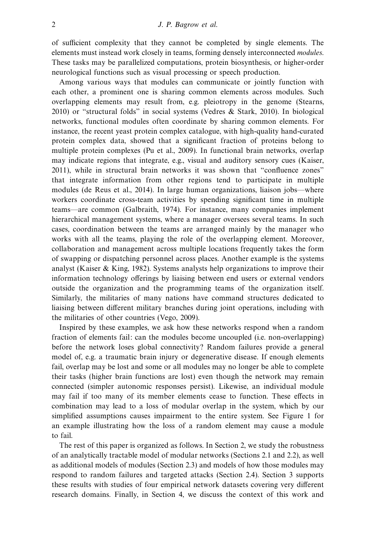of sufficient complexity that they cannot be completed by single elements. The elements must instead work closely in teams, forming densely interconnected *modules*. These tasks may be parallelized computations, protein biosynthesis, or higher-order neurological functions such as visual processing or speech production.

Among various ways that modules can communicate or jointly function with each other, a prominent one is sharing common elements across modules. Such overlapping elements may result from, e.g. pleiotropy in the genome (Stearns, 2010) or "structural folds" in social systems (Vedres & Stark, 2010). In biological networks, functional modules often coordinate by sharing common elements. For instance, the recent yeast protein complex catalogue, with high-quality hand-curated protein complex data, showed that a significant fraction of proteins belong to multiple protein complexes (Pu et al., 2009). In functional brain networks, overlap may indicate regions that integrate, e.g., visual and auditory sensory cues (Kaiser, 2011), while in structural brain networks it was shown that "confluence zones" that integrate information from other regions tend to participate in multiple modules (de Reus et al., 2014). In large human organizations, liaison jobs—where workers coordinate cross-team activities by spending significant time in multiple teams—are common (Galbraith, 1974). For instance, many companies implement hierarchical management systems, where a manager oversees several teams. In such cases, coordination between the teams are arranged mainly by the manager who works with all the teams, playing the role of the overlapping element. Moreover, collaboration and management across multiple locations frequently takes the form of swapping or dispatching personnel across places. Another example is the systems analyst (Kaiser & King, 1982). Systems analysts help organizations to improve their information technology offerings by liaising between end users or external vendors outside the organization and the programming teams of the organization itself. Similarly, the militaries of many nations have command structures dedicated to liaising between different military branches during joint operations, including with the militaries of other countries (Vego, 2009).

Inspired by these examples, we ask how these networks respond when a random fraction of elements fail: can the modules become uncoupled (i.e. non-overlapping) before the network loses global connectivity? Random failures provide a general model of, e.g. a traumatic brain injury or degenerative disease. If enough elements fail, overlap may be lost and some or all modules may no longer be able to complete their tasks (higher brain functions are lost) even though the network may remain connected (simpler autonomic responses persist). Likewise, an individual module may fail if too many of its member elements cease to function. These effects in combination may lead to a loss of modular overlap in the system, which by our simplified assumptions causes impairment to the entire system. See Figure 1 for an example illustrating how the loss of a random element may cause a module to fail.

The rest of this paper is organized as follows. In Section 2, we study the robustness of an analytically tractable model of modular networks (Sections 2.1 and 2.2), as well as additional models of modules (Section 2.3) and models of how those modules may respond to random failures and targeted attacks (Section 2.4). Section 3 supports these results with studies of four empirical network datasets covering very different research domains. Finally, in Section 4, we discuss the context of this work and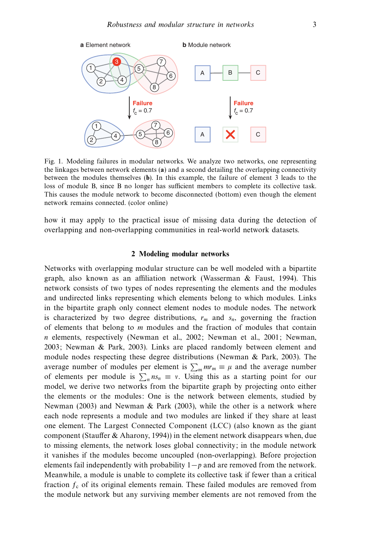

Fig. 1. Modeling failures in modular networks. We analyze two networks, one representing the linkages between network elements (a) and a second detailing the overlapping connectivity between the modules themselves (b). In this example, the failure of element 3 leads to the loss of module B, since B no longer has sufficient members to complete its collective task. This causes the module network to become disconnected (bottom) even though the element network remains connected. (color online)

how it may apply to the practical issue of missing data during the detection of overlapping and non-overlapping communities in real-world network datasets.

## 2 Modeling modular networks

Networks with overlapping modular structure can be well modeled with a bipartite graph, also known as an affiliation network (Wasserman & Faust, 1994). This network consists of two types of nodes representing the elements and the modules and undirected links representing which elements belong to which modules. Links in the bipartite graph only connect element nodes to module nodes. The network is characterized by two degree distributions,  $r_m$  and  $s_n$ , governing the fraction of elements that belong to m modules and the fraction of modules that contain n elements, respectively (Newman et al., 2002; Newman et al., 2001; Newman, 2003; Newman & Park, 2003). Links are placed randomly between element and module nodes respecting these degree distributions (Newman & Park, 2003). The average number of modules per element is  $\sum_m mr_m \equiv \mu$  and the average number of elements per module is  $\sum_{n}$  ns<sub>n</sub>  $\equiv v$ . Using this as a starting point for our model, we derive two networks from the bipartite graph by projecting onto either the elements or the modules: One is the network between elements, studied by Newman (2003) and Newman & Park (2003), while the other is a network where each node represents a module and two modules are linked if they share at least one element. The Largest Connected Component (LCC) (also known as the giant component (Stauffer & Aharony, 1994)) in the element network disappears when, due to missing elements, the network loses global connectivity; in the module network it vanishes if the modules become uncoupled (non-overlapping). Before projection elements fail independently with probability  $1-p$  and are removed from the network. Meanwhile, a module is unable to complete its collective task if fewer than a critical fraction  $f_c$  of its original elements remain. These failed modules are removed from the module network but any surviving member elements are not removed from the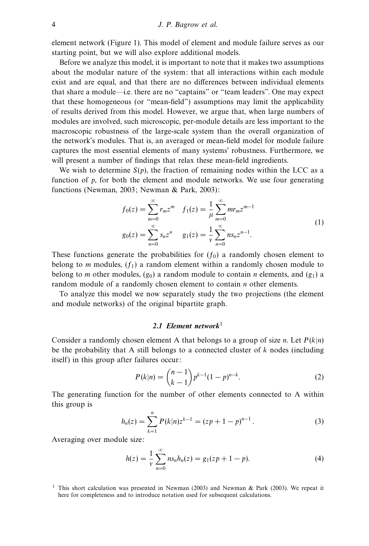element network (Figure 1). This model of element and module failure serves as our starting point, but we will also explore additional models.

Before we analyze this model, it is important to note that it makes two assumptions about the modular nature of the system: that all interactions within each module exist and are equal, and that there are no differences between individual elements that share a module—i.e. there are no "captains" or "team leaders". One may expect that these homogeneous (or "mean-field") assumptions may limit the applicability of results derived from this model. However, we argue that, when large numbers of modules are involved, such microscopic, per-module details are less important to the macroscopic robustness of the large-scale system than the overall organization of the network's modules. That is, an averaged or mean-field model for module failure captures the most essential elements of many systems' robustness. Furthermore, we will present a number of findings that relax these mean-field ingredients.

We wish to determine  $S(p)$ , the fraction of remaining nodes within the LCC as a function of p, for both the element and module networks. We use four generating functions (Newman, 2003; Newman & Park, 2003):

$$
f_0(z) = \sum_{m=0}^{\infty} r_m z^m \quad f_1(z) = \frac{1}{\mu} \sum_{m=0}^{\infty} m r_m z^{m-1}
$$
  
\n
$$
g_0(z) = \sum_{n=0}^{\infty} s_n z^n \quad g_1(z) = \frac{1}{\nu} \sum_{n=0}^{\infty} n s_n z^{n-1}.
$$
\n(1)

These functions generate the probabilities for  $(f_0)$  a randomly chosen element to belong to m modules,  $(f_1)$  a random element within a randomly chosen module to belong to *m* other modules,  $(g_0)$  a random module to contain *n* elements, and  $(g_1)$  a random module of a randomly chosen element to contain *n* other elements.

To analyze this model we now separately study the two projections (the element and module networks) of the original bipartite graph.

# 2.1 Element network $1$

Consider a randomly chosen element A that belongs to a group of size n. Let  $P(k|n)$ be the probability that A still belongs to a connected cluster of  $k$  nodes (including itself) in this group after failures occur:

$$
P(k|n) = {n-1 \choose k-1} p^{k-1} (1-p)^{n-k}.
$$
 (2)

The generating function for the number of other elements connected to A within this group is

$$
h_n(z) = \sum_{k=1}^n P(k|n) z^{k-1} = (zp + 1 - p)^{n-1}.
$$
 (3)

Averaging over module size:

$$
h(z) = \frac{1}{\nu} \sum_{n=0}^{\infty} n s_n h_n(z) = g_1(zp + 1 - p).
$$
 (4)

<sup>&</sup>lt;sup>1</sup> This short calculation was presented in Newman (2003) and Newman & Park (2003). We repeat it here for completeness and to introduce notation used for subsequent calculations.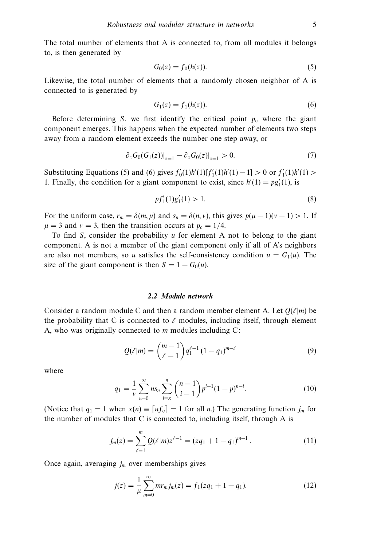The total number of elements that A is connected to, from all modules it belongs to, is then generated by

$$
G_0(z) = f_0(h(z)).
$$
\n(5)

Likewise, the total number of elements that a randomly chosen neighbor of A is connected to is generated by

$$
G_1(z) = f_1(h(z)).
$$
 (6)

Before determining S, we first identify the critical point  $p_c$  where the giant component emerges. This happens when the expected number of elements two steps away from a random element exceeds the number one step away, or

$$
\left. \partial_z G_0(G_1(z)) \right|_{z=1} - \left. \partial_z G_0(z) \right|_{z=1} > 0. \tag{7}
$$

Substituting Equations (5) and (6) gives  $f'_0(1)h'(1)[f'_1(1)h'(1) - 1] > 0$  or  $f'_1(1)h'(1) >$ 1. Finally, the condition for a giant component to exist, since  $h'(1) = pg'_1(1)$ , is

$$
pf_1'(1)g_1'(1) > 1.
$$
 (8)

For the uniform case,  $r_m = \delta(m, \mu)$  and  $s_n = \delta(n, v)$ , this gives  $p(\mu - 1)(v - 1) > 1$ . If  $\mu = 3$  and  $v = 3$ , then the transition occurs at  $p_c = 1/4$ .

To find  $S$ , consider the probability  $u$  for element A not to belong to the giant component. A is not a member of the giant component only if all of A's neighbors are also not members, so u satisfies the self-consistency condition  $u = G_1(u)$ . The size of the giant component is then  $S = 1 - G_0(u)$ .

## 2.2 Module network

Consider a random module C and then a random member element A. Let  $Q(\ell|m)$  be the probability that C is connected to  $\ell$  modules, including itself, through element A, who was originally connected to  $m$  modules including  $C$ :

$$
Q(\ell|m) = {m-1 \choose \ell-1} q_1^{\ell-1} (1-q_1)^{m-\ell} \tag{9}
$$

where

$$
q_1 = \frac{1}{\nu} \sum_{n=0}^{\infty} n s_n \sum_{i=x}^{n} {n-1 \choose i-1} p^{i-1} (1-p)^{n-i}.
$$
 (10)

(Notice that  $q_1 = 1$  when  $x(n) \equiv [nf_c] = 1$  for all n.) The generating function  $j_m$  for the number of modules that C is connected to, including itself, through A is

$$
j_m(z) = \sum_{\ell=1}^m Q(\ell|m) z^{\ell-1} = (zq_1 + 1 - q_1)^{m-1}.
$$
 (11)

Once again, averaging  $j_m$  over memberships gives

$$
j(z) = \frac{1}{\mu} \sum_{m=0}^{\infty} m r_m j_m(z) = f_1(zq_1 + 1 - q_1).
$$
 (12)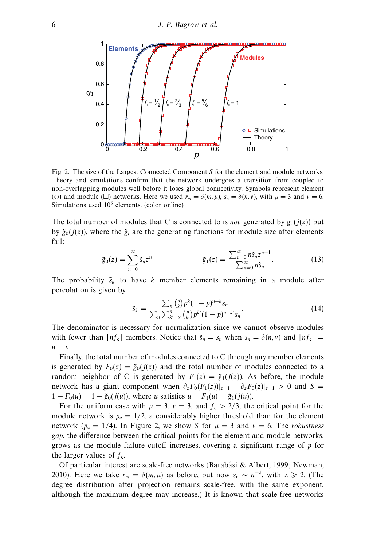

Fig. 2. The size of the Largest Connected Component S for the element and module networks. Theory and simulations confirm that the network undergoes a transition from coupled to non-overlapping modules well before it loses global connectivity. Symbols represent element (⊙) and module ( $\Box$ ) networks. Here we used  $r_m = \delta(m, \mu)$ ,  $s_n = \delta(n, \nu)$ , with  $\mu = 3$  and  $\nu = 6$ . Simulations used 10<sup>6</sup> elements. (color online)

The total number of modules that C is connected to is *not* generated by  $g_0(j(z))$  but by  $\tilde{g}_0(j(z))$ , where the  $\tilde{g}_i$  are the generating functions for module size after elements fail:

$$
\tilde{g}_0(z) = \sum_{n=0}^{\infty} \tilde{s}_n z^n \qquad \qquad \tilde{g}_1(z) = \frac{\sum_{n=0}^{\infty} n \tilde{s}_n z^{n-1}}{\sum_{n=0}^{\infty} n \tilde{s}_n}.
$$
 (13)

The probability  $\tilde{s}_k$  to have k member elements remaining in a module after percolation is given by

$$
\tilde{s}_k = \frac{\sum_n {n \choose k} p^k (1-p)^{n-k} s_n}{\sum_n \sum_{k'=x}^n {n \choose k'} p^{k'} (1-p)^{n-k'} s_n}.
$$
\n(14)

The denominator is necessary for normalization since we cannot observe modules with fewer than  $\lceil nf_c\rceil$  members. Notice that  $\tilde{s}_n = s_n$  when  $s_n = \delta(n, v)$  and  $\lceil nf_c\rceil$  =  $n = v$ .

Finally, the total number of modules connected to C through any member elements is generated by  $F_0(z) = \tilde{g}_0(i(z))$  and the total number of modules connected to a random neighbor of C is generated by  $F_1(z) = \tilde{g}_1(j(z))$ . As before, the module network has a giant component when  $\partial_z F_0(F_1(z))|_{z=1} - \partial_z F_0(z)|_{z=1} > 0$  and S =  $1 - F_0(u) = 1 - \tilde{g}_0(j(u))$ , where u satisfies  $u = F_1(u) = \tilde{g}_1(j(u))$ .

For the uniform case with  $\mu = 3$ ,  $v = 3$ , and  $f_c > 2/3$ , the critical point for the module network is  $p_c = 1/2$ , a considerably higher threshold than for the element network ( $p_c = 1/4$ ). In Figure 2, we show S for  $\mu = 3$  and  $\nu = 6$ . The *robustness* gap, the difference between the critical points for the element and module networks, grows as the module failure cutoff increases, covering a significant range of p for the larger values of  $f_c$ .

Of particular interest are scale-free networks (Barabási & Albert, 1999; Newman, 2010). Here we take  $r_m = \delta(m,\mu)$  as before, but now  $s_n \sim n^{-\lambda}$ , with  $\lambda \ge 2$ . (The degree distribution after projection remains scale-free, with the same exponent, although the maximum degree may increase.) It is known that scale-free networks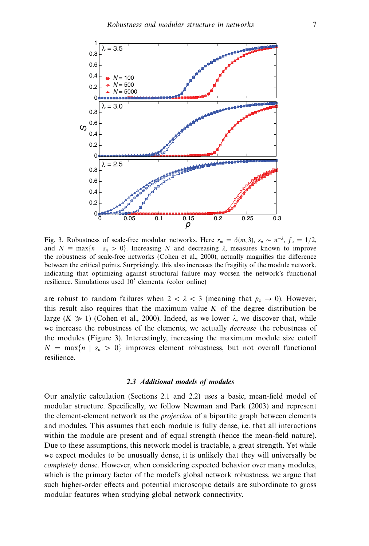

Fig. 3. Robustness of scale-free modular networks. Here  $r_m = \delta(m, 3)$ ,  $s_n \sim n^{-\lambda}$ ,  $f_c = 1/2$ , and  $N \equiv \max\{n \mid s_n > 0\}$ . Increasing N and decreasing  $\lambda$ , measures known to improve the robustness of scale-free networks (Cohen et al., 2000), actually magnifies the difference between the critical points. Surprisingly, this also increases the fragility of the module network, indicating that optimizing against structural failure may worsen the network's functional resilience. Simulations used  $10<sup>5</sup>$  elements. (color online)

are robust to random failures when  $2 < \lambda < 3$  (meaning that  $p_c \rightarrow 0$ ). However, this result also requires that the maximum value  $K$  of the degree distribution be large  $(K \gg 1)$  (Cohen et al., 2000). Indeed, as we lower  $\lambda$ , we discover that, while we increase the robustness of the elements, we actually *decrease* the robustness of the modules (Figure 3). Interestingly, increasing the maximum module size cutoff  $N = \max\{n \mid s_n > 0\}$  improves element robustness, but not overall functional resilience.

#### 2.3 Additional models of modules

Our analytic calculation (Sections 2.1 and 2.2) uses a basic, mean-field model of modular structure. Specifically, we follow Newman and Park (2003) and represent the element-element network as the projection of a bipartite graph between elements and modules. This assumes that each module is fully dense, i.e. that all interactions within the module are present and of equal strength (hence the mean-field nature). Due to these assumptions, this network model is tractable, a great strength. Yet while we expect modules to be unusually dense, it is unlikely that they will universally be completely dense. However, when considering expected behavior over many modules, which is the primary factor of the model's global network robustness, we argue that such higher-order effects and potential microscopic details are subordinate to gross modular features when studying global network connectivity.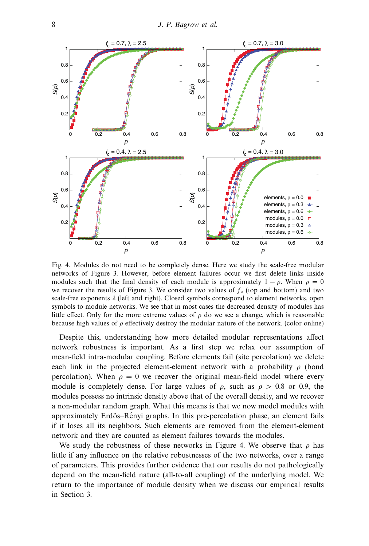

Fig. 4. Modules do not need to be completely dense. Here we study the scale-free modular networks of Figure 3. However, before element failures occur we first delete links inside modules such that the final density of each module is approximately  $1 - \rho$ . When  $\rho = 0$ we recover the results of Figure 3. We consider two values of  $f_c$  (top and bottom) and two scale-free exponents  $\lambda$  (left and right). Closed symbols correspond to element networks, open symbols to module networks. We see that in most cases the decreased density of modules has little effect. Only for the more extreme values of  $\rho$  do we see a change, which is reasonable because high values of  $\rho$  effectively destroy the modular nature of the network. (color online)

Despite this, understanding how more detailed modular representations affect network robustness is important. As a first step we relax our assumption of mean-field intra-modular coupling. Before elements fail (site percolation) we delete each link in the projected element-element network with a probability  $\rho$  (bond percolation). When  $\rho = 0$  we recover the original mean-field model where every module is completely dense. For large values of  $\rho$ , such as  $\rho > 0.8$  or 0.9, the modules possess no intrinsic density above that of the overall density, and we recover a non-modular random graph. What this means is that we now model modules with approximately Erdös–Rényi graphs. In this pre-percolation phase, an element fails if it loses all its neighbors. Such elements are removed from the element-element network and they are counted as element failures towards the modules.

We study the robustness of these networks in Figure 4. We observe that  $\rho$  has little if any influence on the relative robustnesses of the two networks, over a range of parameters. This provides further evidence that our results do not pathologically depend on the mean-field nature (all-to-all coupling) of the underlying model. We return to the importance of module density when we discuss our empirical results in Section 3.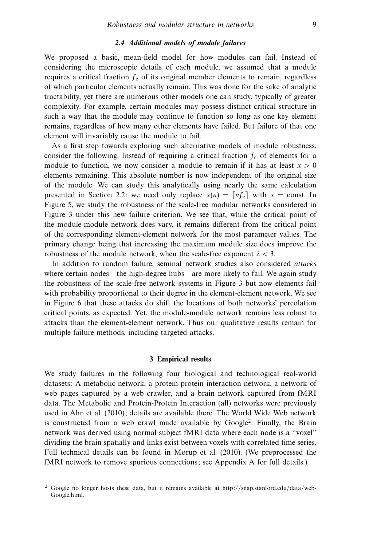## 2.4 Additional models of module failures

We proposed a basic, mean-field model for how modules can fail. Instead of considering the microscopic details of each module, we assumed that a module requires a critical fraction  $f_c$  of its original member elements to remain, regardless of which particular elements actually remain. This was done for the sake of analytic tractability, yet there are numerous other models one can study, typically of greater complexity. For example, certain modules may possess distinct critical structure in such a way that the module may continue to function so long as one key element remains, regardless of how many other elements have failed. But failure of that one element will invariably cause the module to fail.

As a first step towards exploring such alternative models of module robustness, consider the following. Instead of requiring a critical fraction  $f_c$  of elements for a module to function, we now consider a module to remain if it has at least  $x > 0$ elements remaining. This absolute number is now independent of the original size of the module. We can study this analytically using nearly the same calculation presented in Section 2.2; we need only replace  $x(n) = \lfloor nf_c \rfloor$  with  $x = \text{const.}$  In Figure 5, we study the robustness of the scale-free modular networks considered in Figure 3 under this new failure criterion. We see that, while the critical point of the module-module network does vary, it remains different from the critical point of the corresponding element-element network for the most parameter values. The primary change being that increasing the maximum module size does improve the robustness of the module network, when the scale-free exponent  $\lambda < 3$ .

In addition to random failure, seminal network studies also considered attacks where certain nodes—the high-degree hubs—are more likely to fail. We again study the robustness of the scale-free network systems in Figure 3 but now elements fail with probability proportional to their degree in the element-element network. We see in Figure 6 that these attacks do shift the locations of both networks' percolation critical points, as expected. Yet, the module-module network remains less robust to attacks than the element-element network. Thus our qualitative results remain for multiple failure methods, including targeted attacks.

## 3 Empirical results

We study failures in the following four biological and technological real-world datasets: A metabolic network, a protein-protein interaction network, a network of web pages captured by a web crawler, and a brain network captured from fMRI data. The Metabolic and Protein-Protein Interaction (all) networks were previously used in Ahn et al. (2010); details are available there. The World Wide Web network is constructed from a web crawl made available by Google<sup>2</sup>. Finally, the Brain network was derived using normal subject fMRI data where each node is a "voxel" dividing the brain spatially and links exist between voxels with correlated time series. Full technical details can be found in Mørup et al. (2010). (We preprocessed the fMRI network to remove spurious connections; see Appendix A for full details.)

<sup>2</sup> Google no longer hosts these data, but it remains available at http://snap.stanford.edu/data/web-Google.html.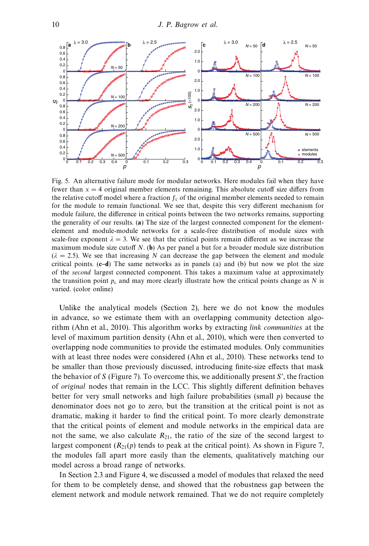

Fig. 5. An alternative failure mode for modular networks. Here modules fail when they have fewer than  $x = 4$  original member elements remaining. This absolute cutoff size differs from the relative cutoff model where a fraction  $f_c$  of the original member elements needed to remain for the module to remain functional. We see that, despite this very different mechanism for module failure, the difference in critical points between the two networks remains, supporting the generality of our results. (a) The size of the largest connected component for the elementelement and module-module networks for a scale-free distribution of module sizes with scale-free exponent  $\lambda = 3$ . We see that the critical points remain different as we increase the maximum module size cutoff  $N$ . (b) As per panel a but for a broader module size distribution  $(\lambda = 2.5)$ . We see that increasing N can decrease the gap between the element and module critical points.  $(c-d)$  The same networks as in panels (a) and (b) but now we plot the size of the second largest connected component. This takes a maximum value at approximately the transition point  $p_c$  and may more clearly illustrate how the critical points change as N is varied. (color online)

Unlike the analytical models (Section 2), here we do not know the modules in advance, so we estimate them with an overlapping community detection algorithm (Ahn et al., 2010). This algorithm works by extracting link communities at the level of maximum partition density (Ahn et al., 2010), which were then converted to overlapping node communities to provide the estimated modules. Only communities with at least three nodes were considered (Ahn et al., 2010). These networks tend to be smaller than those previously discussed, introducing finite-size effects that mask the behavior of S (Figure 7). To overcome this, we additionally present S′ , the fraction of original nodes that remain in the LCC. This slightly different definition behaves better for very small networks and high failure probabilities (small  $p$ ) because the denominator does not go to zero, but the transition at the critical point is not as dramatic, making it harder to find the critical point. To more clearly demonstrate that the critical points of element and module networks in the empirical data are not the same, we also calculate  $R_{21}$ , the ratio of the size of the second largest to largest component  $(R_{21}(p)$  tends to peak at the critical point). As shown in Figure 7, the modules fall apart more easily than the elements, qualitatively matching our model across a broad range of networks.

In Section 2.3 and Figure 4, we discussed a model of modules that relaxed the need for them to be completely dense, and showed that the robustness gap between the element network and module network remained. That we do not require completely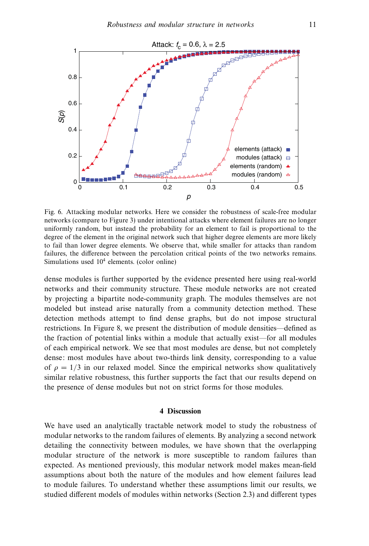

Fig. 6. Attacking modular networks. Here we consider the robustness of scale-free modular networks (compare to Figure 3) under intentional attacks where element failures are no longer uniformly random, but instead the probability for an element to fail is proportional to the degree of the element in the original network such that higher degree elements are more likely to fail than lower degree elements. We observe that, while smaller for attacks than random failures, the difference between the percolation critical points of the two networks remains. Simulations used  $10<sup>4</sup>$  elements. (color online)

dense modules is further supported by the evidence presented here using real-world networks and their community structure. These module networks are not created by projecting a bipartite node-community graph. The modules themselves are not modeled but instead arise naturally from a community detection method. These detection methods attempt to find dense graphs, but do not impose structural restrictions. In Figure 8, we present the distribution of module densities—defined as the fraction of potential links within a module that actually exist—for all modules of each empirical network. We see that most modules are dense, but not completely dense: most modules have about two-thirds link density, corresponding to a value of  $\rho = 1/3$  in our relaxed model. Since the empirical networks show qualitatively similar relative robustness, this further supports the fact that our results depend on the presence of dense modules but not on strict forms for those modules.

## 4 Discussion

We have used an analytically tractable network model to study the robustness of modular networks to the random failures of elements. By analyzing a second network detailing the connectivity between modules, we have shown that the overlapping modular structure of the network is more susceptible to random failures than expected. As mentioned previously, this modular network model makes mean-field assumptions about both the nature of the modules and how element failures lead to module failures. To understand whether these assumptions limit our results, we studied different models of modules within networks (Section 2.3) and different types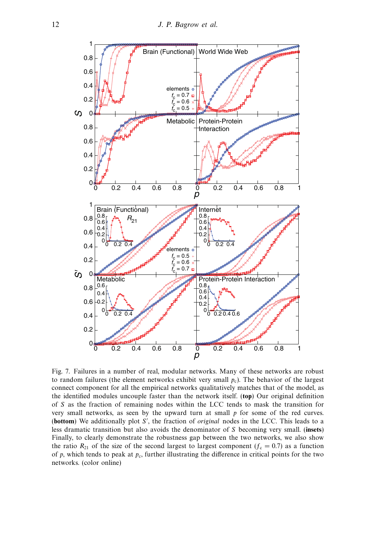

Fig. 7. Failures in a number of real, modular networks. Many of these networks are robust to random failures (the element networks exhibit very small  $p_c$ ). The behavior of the largest connect component for all the empirical networks qualitatively matches that of the model, as the identified modules uncouple faster than the network itself. (top) Our original definition of S as the fraction of remaining nodes within the LCC tends to mask the transition for very small networks, as seen by the upward turn at small p for some of the red curves. (**bottom**) We additionally plot S', the fraction of *original* nodes in the LCC. This leads to a less dramatic transition but also avoids the denominator of S becoming very small. (insets) Finally, to clearly demonstrate the robustness gap between the two networks, we also show the ratio  $R_{21}$  of the size of the second largest to largest component ( $f_c = 0.7$ ) as a function of p, which tends to peak at  $p_c$ , further illustrating the difference in critical points for the two networks. (color online)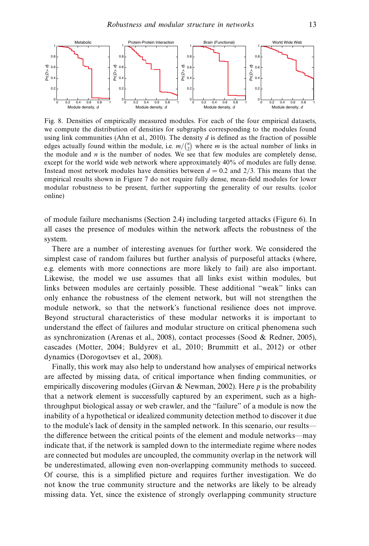

Fig. 8. Densities of empirically measured modules. For each of the four empirical datasets, we compute the distribution of densities for subgraphs corresponding to the modules found using link communities (Ahn et al., 2010). The density  $d$  is defined as the fraction of possible edges actually found within the module, i.e.  $m / {n \choose 2}$  where m is the actual number of links in the module and  $n$  is the number of nodes. We see that few modules are completely dense, except for the world wide web network where approximately 40% of modules are fully dense. Instead most network modules have densities between  $d = 0.2$  and 2/3. This means that the empirical results shown in Figure 7 do not require fully dense, mean-field modules for lower modular robustness to be present, further supporting the generality of our results. (color online)

of module failure mechanisms (Section 2.4) including targeted attacks (Figure 6). In all cases the presence of modules within the network affects the robustness of the system.

There are a number of interesting avenues for further work. We considered the simplest case of random failures but further analysis of purposeful attacks (where, e.g. elements with more connections are more likely to fail) are also important. Likewise, the model we use assumes that all links exist within modules, but links between modules are certainly possible. These additional "weak" links can only enhance the robustness of the element network, but will not strengthen the module network, so that the network's functional resilience does not improve. Beyond structural characteristics of these modular networks it is important to understand the effect of failures and modular structure on critical phenomena such as synchronization (Arenas et al., 2008), contact processes (Sood & Redner, 2005), cascades (Motter, 2004; Buldyrev et al., 2010; Brummitt et al., 2012) or other dynamics (Dorogovtsev et al., 2008).

Finally, this work may also help to understand how analyses of empirical networks are affected by missing data, of critical importance when finding communities, or empirically discovering modules (Girvan & Newman, 2002). Here  $p$  is the probability that a network element is successfully captured by an experiment, such as a highthroughput biological assay or web crawler, and the "failure" of a module is now the inability of a hypothetical or idealized community detection method to discover it due to the module's lack of density in the sampled network. In this scenario, our results the difference between the critical points of the element and module networks—may indicate that, if the network is sampled down to the intermediate regime where nodes are connected but modules are uncoupled, the community overlap in the network will be underestimated, allowing even non-overlapping community methods to succeed. Of course, this is a simplified picture and requires further investigation. We do not know the true community structure and the networks are likely to be already missing data. Yet, since the existence of strongly overlapping community structure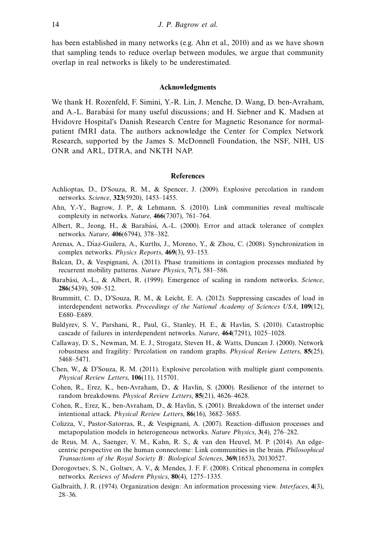has been established in many networks (e.g. Ahn et al., 2010) and as we have shown that sampling tends to reduce overlap between modules, we argue that community overlap in real networks is likely to be underestimated.

## Acknowledgments

We thank H. Rozenfeld, F. Simini, Y.-R. Lin, J. Menche, D. Wang, D. ben-Avraham, and A.-L. Barabási for many useful discussions; and H. Siebner and K. Madsen at Hvidovre Hospital's Danish Research Centre for Magnetic Resonance for normalpatient fMRI data. The authors acknowledge the Center for Complex Network Research, supported by the James S. McDonnell Foundation, the NSF, NIH, US ONR and ARL, DTRA, and NKTH NAP.

## References

- Achlioptas, D., D'Souza, R. M., & Spencer, J. (2009). Explosive percolation in random networks. Science, 323(5920), 1453–1455.
- Ahn, Y.-Y., Bagrow, J. P., & Lehmann, S. (2010). Link communities reveal multiscale complexity in networks. Nature, 466(7307), 761–764.
- Albert, R., Jeong, H., & Barabási, A.-L. (2000). Error and attack tolerance of complex networks. Nature, 406(6794), 378–382.
- Arenas, A., Díaz-Guilera, A., Kurths, J., Moreno, Y., & Zhou, C. (2008). Synchronization in complex networks. Physics Reports, 469(3), 93–153.
- Balcan, D., & Vespignani, A. (2011). Phase transitions in contagion processes mediated by recurrent mobility patterns. Nature Physics, 7(7), 581–586.
- Barabási, A.-L., & Albert, R. (1999). Emergence of scaling in random networks. Science, 286(5439), 509–512.
- Brummitt, C. D., D'Souza, R. M., & Leicht, E. A. (2012). Suppressing cascades of load in interdependent networks. Proceedings of the National Academy of Sciences USA, 109(12), E680–E689.
- Buldyrev, S. V., Parshani, R., Paul, G., Stanley, H. E., & Havlin, S. (2010). Catastrophic cascade of failures in interdependent networks. Nature, 464(7291), 1025–1028.
- Callaway, D. S., Newman, M. E. J., Strogatz, Steven H., & Watts, Duncan J. (2000). Network robustness and fragility: Percolation on random graphs. Physical Review Letters, 85(25), 5468–5471.
- Chen, W., & D'Souza, R. M. (2011). Explosive percolation with multiple giant components. Physical Review Letters, 106(11), 115701.
- Cohen, R., Erez, K., ben-Avraham, D., & Havlin, S. (2000). Resilience of the internet to random breakdowns. Physical Review Letters, 85(21), 4626–4628.
- Cohen, R., Erez, K., ben-Avraham, D., & Havlin, S. (2001). Breakdown of the internet under intentional attack. Physical Review Letters, 86(16), 3682–3685.
- Colizza, V., Pastor-Satorras, R., & Vespignani, A. (2007). Reaction–diffusion processes and metapopulation models in heterogeneous networks. Nature Physics, 3(4), 276–282.
- de Reus, M. A., Saenger, V. M., Kahn, R. S., & van den Heuvel, M. P. (2014). An edgecentric perspective on the human connectome: Link communities in the brain. Philosophical Transactions of the Royal Society B: Biological Sciences, 369(1653), 20130527.
- Dorogovtsev, S. N., Goltsev, A. V., & Mendes, J. F. F. (2008). Critical phenomena in complex networks. Reviews of Modern Physics, 80(4), 1275–1335.
- Galbraith, J. R. (1974). Organization design: An information processing view. Interfaces, 4(3), 28–36.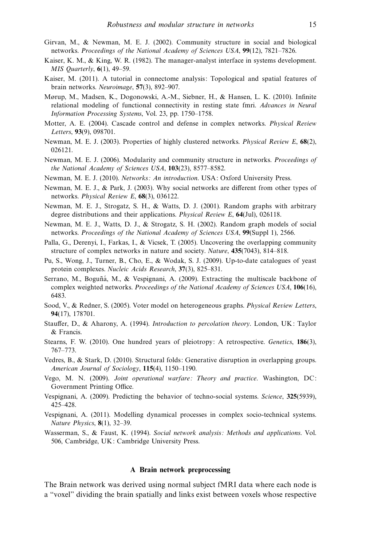- Girvan, M., & Newman, M. E. J. (2002). Community structure in social and biological networks. Proceedings of the National Academy of Sciences USA, 99(12), 7821–7826.
- Kaiser, K. M., & King, W. R. (1982). The manager-analyst interface in systems development. MIS Quarterly, 6(1), 49–59.
- Kaiser, M. (2011). A tutorial in connectome analysis: Topological and spatial features of brain networks. Neuroimage, 57(3), 892–907.
- Mørup, M., Madsen, K., Dogonowski, A.-M., Siebner, H., & Hansen, L. K. (2010). Infinite relational modeling of functional connectivity in resting state fmri. Advances in Neural Information Processing Systems, Vol. 23, pp. 1750–1758.
- Motter, A. E. (2004). Cascade control and defense in complex networks. Physical Review Letters, 93(9), 098701.
- Newman, M. E. J. (2003). Properties of highly clustered networks. Physical Review E, 68(2), 026121.
- Newman, M. E. J. (2006). Modularity and community structure in networks. Proceedings of the National Academy of Sciences USA, 103(23), 8577–8582.
- Newman, M. E. J. (2010). Networks: An introduction. USA: Oxford University Press.
- Newman, M. E. J., & Park, J. (2003). Why social networks are different from other types of networks. Physical Review E, 68(3), 036122.
- Newman, M. E. J., Strogatz, S. H., & Watts, D. J. (2001). Random graphs with arbitrary degree distributions and their applications. Physical Review E, 64(Jul), 026118.
- Newman, M. E. J., Watts, D. J., & Strogatz, S. H. (2002). Random graph models of social networks. Proceedings of the National Academy of Sciences USA, 99(Suppl 1), 2566.
- Palla, G., Derenyi, I., Farkas, I., & Vicsek, T. (2005). Uncovering the overlapping community structure of complex networks in nature and society. Nature, 435(7043), 814–818.
- Pu, S., Wong, J., Turner, B., Cho, E., & Wodak, S. J. (2009). Up-to-date catalogues of yeast protein complexes. Nucleic Acids Research, 37(3), 825–831.
- Serrano, M., Boguñá, M., & Vespignani, A. (2009). Extracting the multiscale backbone of complex weighted networks. Proceedings of the National Academy of Sciences USA, 106(16), 6483.
- Sood, V., & Redner, S. (2005). Voter model on heterogeneous graphs. Physical Review Letters, 94(17), 178701.
- Stauffer, D., & Aharony, A. (1994). Introduction to percolation theory. London, UK: Taylor & Francis.
- Stearns, F. W. (2010). One hundred years of pleiotropy: A retrospective. Genetics, 186(3), 767–773.
- Vedres, B., & Stark, D. (2010). Structural folds: Generative disruption in overlapping groups. American Journal of Sociology, 115(4), 1150–1190.
- Vego, M. N. (2009). Joint operational warfare: Theory and practice. Washington, DC: Government Printing Office.
- Vespignani, A. (2009). Predicting the behavior of techno-social systems. Science, 325(5939), 425–428.
- Vespignani, A. (2011). Modelling dynamical processes in complex socio-technical systems. Nature Physics, 8(1), 32–39.
- Wasserman, S., & Faust, K. (1994). Social network analysis: Methods and applications. Vol. 506, Cambridge, UK: Cambridge University Press.

# A Brain network preprocessing

The Brain network was derived using normal subject fMRI data where each node is a "voxel" dividing the brain spatially and links exist between voxels whose respective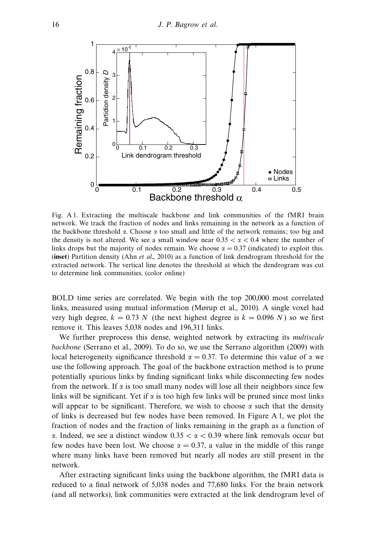

Fig. A 1. Extracting the multiscale backbone and link communities of the fMRI brain network. We track the fraction of nodes and links remaining in the network as a function of the backbone threshold  $\alpha$ . Choose  $\alpha$  too small and little of the network remains; too big and the density is not altered. We see a small window near  $0.35 < \alpha < 0.4$  where the number of links drops but the majority of nodes remain. We choose  $\alpha = 0.37$  (indicated) to exploit this. (inset) Partition density (Ahn *et al.*, 2010) as a function of link dendrogram threshold for the extracted network. The vertical line denotes the threshold at which the dendrogram was cut to determine link communities. (color online)

BOLD time series are correlated. We begin with the top 200,000 most correlated links, measured using mutual information (Mørup et al., 2010). A single voxel had very high degree,  $k = 0.73$  N (the next highest degree is  $k = 0.096$  N) so we first remove it. This leaves 5,038 nodes and 196,311 links.

We further preprocess this dense, weighted network by extracting its *multiscale* backbone (Serrano et al., 2009). To do so, we use the Serrano algorithm (2009) with local heterogeneity significance threshold  $\alpha = 0.37$ . To determine this value of  $\alpha$  we use the following approach. The goal of the backbone extraction method is to prune potentially spurious links by finding significant links while disconnecting few nodes from the network. If  $\alpha$  is too small many nodes will lose all their neighbors since few links will be significant. Yet if  $\alpha$  is too high few links will be pruned since most links will appear to be significant. Therefore, we wish to choose  $\alpha$  such that the density of links is decreased but few nodes have been removed. In Figure A 1, we plot the fraction of nodes and the fraction of links remaining in the graph as a function of α. Indeed, we see a distinct window 0.35 < α < 0.39 where link removals occur but few nodes have been lost. We choose  $\alpha = 0.37$ , a value in the middle of this range where many links have been removed but nearly all nodes are still present in the network.

After extracting significant links using the backbone algorithm, the fMRI data is reduced to a final network of 5,038 nodes and 77,680 links. For the brain network (and all networks), link communities were extracted at the link dendrogram level of